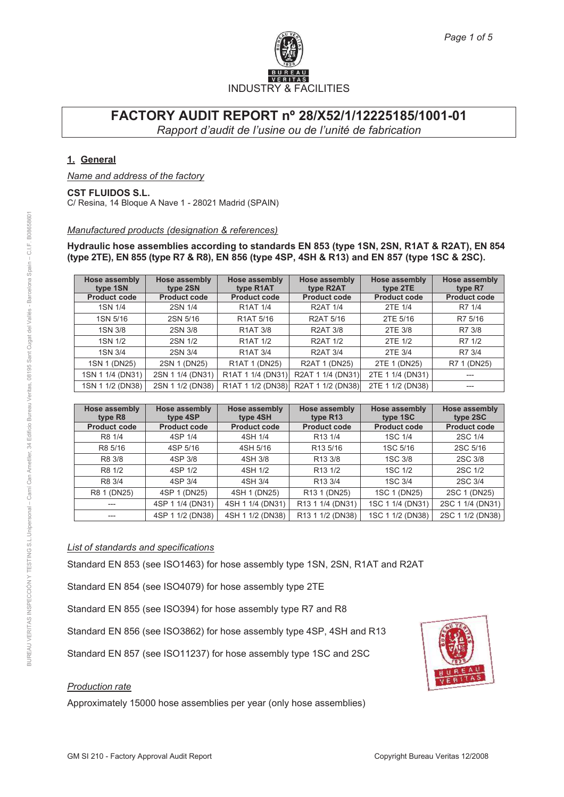

### **1. General**

*Name and address of the factory*

### **CST FLUIDOS S.L.**

C/ Resina, 14 Bloque A Nave 1 - 28021 Madrid (SPAIN)

#### *Manufactured products (designation & references)*

**Hydraulic hose assemblies according to standards EN 853 (type 1SN, 2SN, R1AT & R2AT), EN 854 (type 2TE), EN 855 (type R7 & R8), EN 856 (type 4SP, 4SH & R13) and EN 857 (type 1SC & 2SC).**

| Hose assembly<br>type 1SN | <b>Hose assembly</b><br>type 2SN | Hose assembly<br>type R <sub>1</sub> AT            | <b>Hose assembly</b><br>type R2AT | Hose assembly<br>type 2TE | <b>Hose assembly</b><br>type R7 |
|---------------------------|----------------------------------|----------------------------------------------------|-----------------------------------|---------------------------|---------------------------------|
| <b>Product code</b>       | <b>Product code</b>              | <b>Product code</b>                                | <b>Product code</b>               | <b>Product code</b>       | <b>Product code</b>             |
| 1SN 1/4                   | 2SN 1/4                          | <b>R1AT 1/4</b>                                    | <b>R2AT 1/4</b>                   | 2TE 1/4                   | R7 1/4                          |
| 1SN 5/16                  | 2SN 5/16                         | R <sub>1</sub> AT 5/16                             | R2AT 5/16                         | 2TE 5/16                  | R7 5/16                         |
| 1SN 3/8                   | 2SN 3/8                          | <b>R1AT 3/8</b>                                    | <b>R2AT 3/8</b>                   | 2TE 3/8                   | R7 3/8                          |
| 1SN 1/2                   | 2SN 1/2                          | <b>R1AT 1/2</b>                                    | <b>R2AT 1/2</b>                   | 2TE 1/2                   | R7 1/2                          |
| 1SN 3/4                   | 2SN 3/4                          | <b>R1AT 3/4</b>                                    | <b>R2AT 3/4</b>                   | 2TE 3/4                   | R7 3/4                          |
| 1SN 1 (DN25)              | 2SN 1 (DN25)                     | R <sub>1</sub> AT <sub>1</sub> (D <sub>N25</sub> ) | R2AT 1 (DN25)                     | 2TE 1 (DN25)              | R7 1 (DN25)                     |
| 1SN 1 1/4 (DN31)          | 2SN 1 1/4 (DN31)                 | R1AT 1 1/4 (DN31)                                  | R2AT 1 1/4 (DN31)                 | 2TE 1 1/4 (DN31)          | ---                             |
| 1SN 1 1/2 (DN38)          | 2SN 1 1/2 (DN38)                 | R1AT 1 1/2 (DN38)                                  | R2AT 1 1/2 (DN38)                 | 2TE 1 1/2 (DN38)          | $---$                           |

| Hose assembly<br>type R <sub>8</sub> | <b>Hose assembly</b><br>type 4SP | Hose assembly<br>type 4SH | Hose assembly<br>type R <sub>13</sub> | <b>Hose assembly</b><br>type 1SC | Hose assembly<br>type 2SC |
|--------------------------------------|----------------------------------|---------------------------|---------------------------------------|----------------------------------|---------------------------|
| <b>Product code</b>                  | <b>Product code</b>              | <b>Product code</b>       | <b>Product code</b>                   | <b>Product code</b>              | <b>Product code</b>       |
| R8 1/4                               | 4SP 1/4                          | 4SH 1/4                   | R <sub>13</sub> 1/4                   | 1SC 1/4                          | 2SC 1/4                   |
| R8 5/16                              | 4SP 5/16                         | 4SH 5/16                  | R <sub>13</sub> 5/16                  | 1SC 5/16                         | 2SC 5/16                  |
| R8 3/8                               | 4SP 3/8                          | 4SH 3/8                   | R <sub>13</sub> 3/8                   | 1SC 3/8                          | 2SC 3/8                   |
| R8 1/2                               | 4SP 1/2                          | 4SH 1/2                   | R <sub>13</sub> 1/2                   | 1SC 1/2                          | 2SC 1/2                   |
| R8 3/4                               | 4SP 3/4                          | 4SH 3/4                   | R <sub>13</sub> 3/4                   | 1SC 3/4                          | 2SC 3/4                   |
| R8 1 (DN25)                          | 4SP 1 (DN25)                     | 4SH 1 (DN25)              | R <sub>13</sub> 1 (D <sub>N25</sub> ) | 1SC 1 (DN25)                     | 2SC 1 (DN25)              |
|                                      | 4SP 1 1/4 (DN31)                 | 4SH 1 1/4 (DN31)          | R13 1 1/4 (DN31)                      | 1SC 1 1/4 (DN31)                 | 2SC 1 1/4 (DN31)          |
| ---                                  | 4SP 1 1/2 (DN38)                 | 4SH 1 1/2 (DN38)          | R13 1 1/2 (DN38)                      | 1SC 1 1/2 (DN38)                 | 2SC 1 1/2 (DN38)          |

#### *List of standards and specifications*

Standard EN 853 (see ISO1463) for hose assembly type 1SN, 2SN, R1AT and R2AT

Standard EN 854 (see ISO4079) for hose assembly type 2TE

Standard EN 855 (see ISO394) for hose assembly type R7 and R8

Standard EN 856 (see ISO3862) for hose assembly type 4SP, 4SH and R13

Standard EN 857 (see ISO11237) for hose assembly type 1SC and 2SC

#### *Production rate*

Approximately 15000 hose assemblies per year (only hose assemblies)

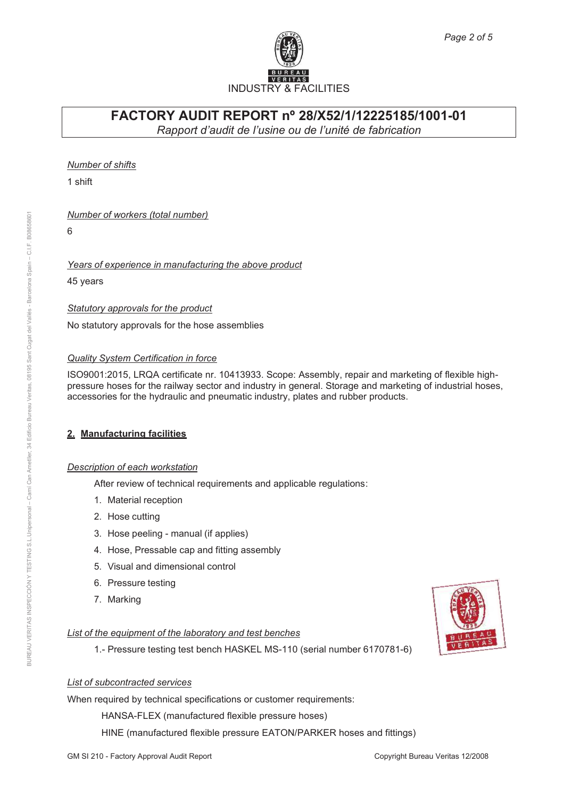

*Number of shifts*

1 shift

### *Number of workers (total number)*

6

### *Years of experience in manufacturing the above product*

45 years

### *Statutory approvals for the product*

No statutory approvals for the hose assemblies

### *Quality System Certification in force*

ISO9001:2015, LRQA certificate nr. 10413933. Scope: Assembly, repair and marketing of flexible highpressure hoses for the railway sector and industry in general. Storage and marketing of industrial hoses, accessories for the hydraulic and pneumatic industry, plates and rubber products.

## **2. Manufacturing facilities**

### *Description of each workstation*

After review of technical requirements and applicable regulations:

- 1. Material reception
- 2. Hose cutting
- 3. Hose peeling manual (if applies)
- 4. Hose, Pressable cap and fitting assembly
- 5. Visual and dimensional control
- 6. Pressure testing
- 7. Marking

# *List of the equipment of the laboratory and test benches*

1.- Pressure testing test bench HASKEL MS-110 (serial number 6170781-6)

# *List of subcontracted services*

When required by technical specifications or customer requirements:

HANSA-FLEX (manufactured flexible pressure hoses)

HINE (manufactured flexible pressure EATON/PARKER hoses and fittings)

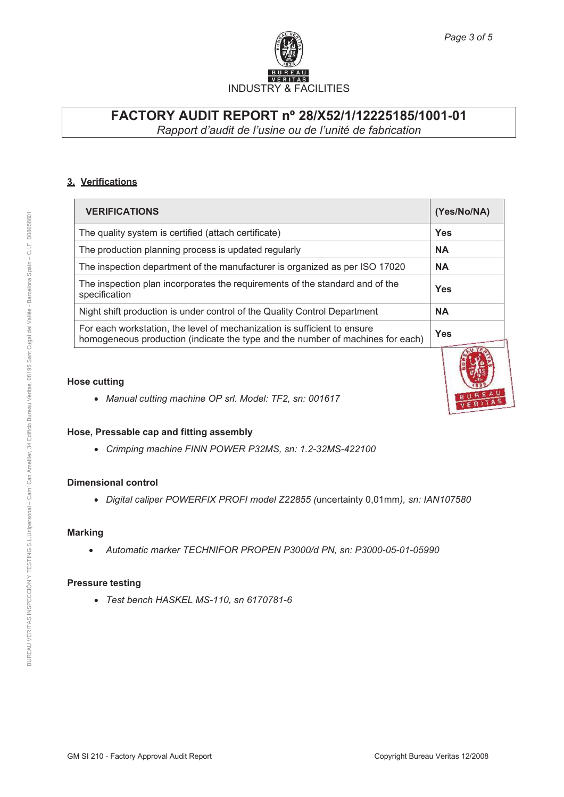

### **3. Verifications**

| <b>VERIFICATIONS</b>                                                                                                                                       | (Yes/No/NA) |
|------------------------------------------------------------------------------------------------------------------------------------------------------------|-------------|
| The quality system is certified (attach certificate)                                                                                                       | <b>Yes</b>  |
| The production planning process is updated regularly                                                                                                       | <b>NA</b>   |
| The inspection department of the manufacturer is organized as per ISO 17020                                                                                | <b>NA</b>   |
| The inspection plan incorporates the requirements of the standard and of the<br>specification                                                              | <b>Yes</b>  |
| Night shift production is under control of the Quality Control Department                                                                                  | <b>NA</b>   |
| For each workstation, the level of mechanization is sufficient to ensure<br>homogeneous production (indicate the type and the number of machines for each) | <b>Yes</b>  |

### **Hose cutting**

· *Manual cutting machine OP srl. Model: TF2, sn: 001617*

### **Hose, Pressable cap and fitting assembly**

· *Crimping machine FINN POWER P32MS, sn: 1.2-32MS-422100*

### **Dimensional control**

· *Digital caliper POWERFIX PROFI model Z22855 (*uncertainty 0,01mm*), sn: IAN107580*

#### **Marking**

· *Automatic marker TECHNIFOR PROPEN P3000/d PN, sn: P3000-05-01-05990*

#### **Pressure testing**

· *Test bench HASKEL MS-110, sn 6170781-6*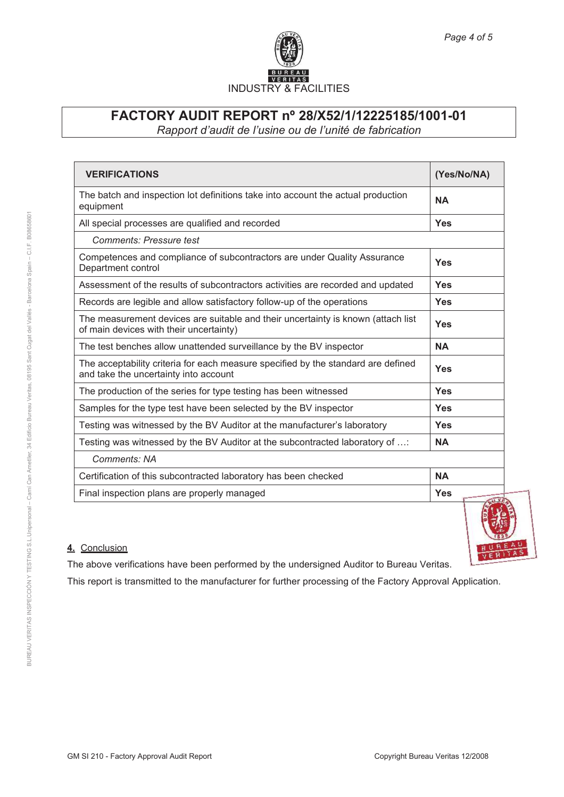

| <b>VERIFICATIONS</b>                                                                                                        | (Yes/No/NA)                |
|-----------------------------------------------------------------------------------------------------------------------------|----------------------------|
| The batch and inspection lot definitions take into account the actual production<br>equipment                               | <b>NA</b>                  |
| All special processes are qualified and recorded                                                                            | Yes                        |
| <b>Comments: Pressure test</b>                                                                                              |                            |
| Competences and compliance of subcontractors are under Quality Assurance<br>Department control                              | Yes                        |
| Assessment of the results of subcontractors activities are recorded and updated                                             | Yes                        |
| Records are legible and allow satisfactory follow-up of the operations                                                      | Yes                        |
| The measurement devices are suitable and their uncertainty is known (attach list<br>of main devices with their uncertainty) | Yes                        |
| The test benches allow unattended surveillance by the BV inspector                                                          | <b>NA</b>                  |
| The acceptability criteria for each measure specified by the standard are defined<br>and take the uncertainty into account  | Yes                        |
| The production of the series for type testing has been witnessed                                                            | Yes                        |
| Samples for the type test have been selected by the BV inspector                                                            | Yes                        |
| Testing was witnessed by the BV Auditor at the manufacturer's laboratory                                                    | Yes                        |
| Testing was witnessed by the BV Auditor at the subcontracted laboratory of :                                                | <b>NA</b>                  |
| Comments: NA                                                                                                                |                            |
| Certification of this subcontracted laboratory has been checked                                                             | <b>NA</b>                  |
| Final inspection plans are properly managed                                                                                 | <b>Yes</b><br><b>TILKI</b> |

## **4.** Conclusion

The above verifications have been performed by the undersigned Auditor to Bureau Veritas.

This report is transmitted to the manufacturer for further processing of the Factory Approval Application.